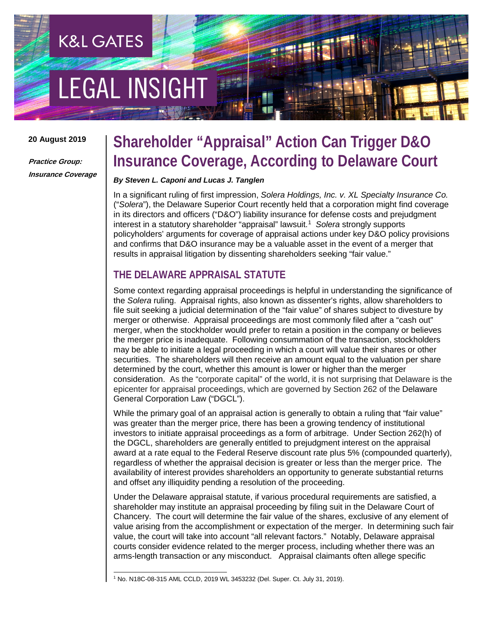# **EGAL INSIGHT**

**K&L GATES** 

#### **20 August 2019**

**Practice Group: Insurance Coverage**

# **Shareholder "Appraisal" Action Can Trigger D&O Insurance Coverage, According to Delaware Court**

#### *By Steven L. Caponi and Lucas J. Tanglen*

In a significant ruling of first impression, *Solera Holdings, Inc. v. XL Specialty Insurance Co.*  ("*Solera*"), the Delaware Superior Court recently held that a corporation might find coverage in its directors and officers ("D&O") liability insurance for defense costs and prejudgment interest in a statutory shareholder "appraisal" lawsuit.[1](#page-0-0) *Solera* strongly supports policyholders' arguments for coverage of appraisal actions under key D&O policy provisions and confirms that D&O insurance may be a valuable asset in the event of a merger that results in appraisal litigation by dissenting shareholders seeking "fair value."

# **THE DELAWARE APPRAISAL STATUTE**

Some context regarding appraisal proceedings is helpful in understanding the significance of the *Solera* ruling. Appraisal rights, also known as dissenter's rights, allow shareholders to file suit seeking a judicial determination of the "fair value" of shares subject to divesture by merger or otherwise. Appraisal proceedings are most commonly filed after a "cash out" merger, when the stockholder would prefer to retain a position in the company or believes the merger price is inadequate. Following consummation of the transaction, stockholders may be able to initiate a legal proceeding in which a court will value their shares or other securities. The shareholders will then receive an amount equal to the valuation per share determined by the court, whether this amount is lower or higher than the merger consideration. As the "corporate capital" of the world, it is not surprising that Delaware is the epicenter for appraisal proceedings, which are governed by Section 262 of the Delaware General Corporation Law ("DGCL").

While the primary goal of an appraisal action is generally to obtain a ruling that "fair value" was greater than the merger price, there has been a growing tendency of institutional investors to initiate appraisal proceedings as a form of arbitrage. Under Section 262(h) of the DGCL, shareholders are generally entitled to prejudgment interest on the appraisal award at a rate equal to the Federal Reserve discount rate plus 5% (compounded quarterly), regardless of whether the appraisal decision is greater or less than the merger price. The availability of interest provides shareholders an opportunity to generate substantial returns and offset any illiquidity pending a resolution of the proceeding.

Under the Delaware appraisal statute, if various procedural requirements are satisfied, a shareholder may institute an appraisal proceeding by filing suit in the Delaware Court of Chancery. The court will determine the fair value of the shares, exclusive of any element of value arising from the accomplishment or expectation of the merger. In determining such fair value, the court will take into account "all relevant factors." Notably, Delaware appraisal courts consider evidence related to the merger process, including whether there was an arms-length transaction or any misconduct. Appraisal claimants often allege specific

<span id="page-0-0"></span> <sup>1</sup> No. N18C-08-315 AML CCLD, 2019 WL 3453232 (Del. Super. Ct. July 31, 2019).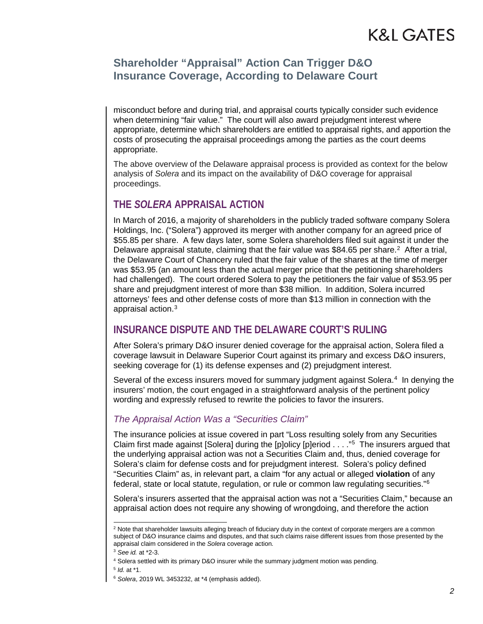# K&L GATES

# **Shareholder "Appraisal" Action Can Trigger D&O Insurance Coverage, According to Delaware Court**

misconduct before and during trial, and appraisal courts typically consider such evidence when determining "fair value." The court will also award prejudgment interest where appropriate, determine which shareholders are entitled to appraisal rights, and apportion the costs of prosecuting the appraisal proceedings among the parties as the court deems appropriate.

The above overview of the Delaware appraisal process is provided as context for the below analysis of *Solera* and its impact on the availability of D&O coverage for appraisal proceedings.

### **THE** *SOLERA* **APPRAISAL ACTION**

In March of 2016, a majority of shareholders in the publicly traded software company Solera Holdings, Inc. ("Solera") approved its merger with another company for an agreed price of \$55.85 per share. A few days later, some Solera shareholders filed suit against it under the Delaware appraisal statute, claiming that the fair value was \$84.65 per share.<sup>[2](#page-1-0)</sup> After a trial, the Delaware Court of Chancery ruled that the fair value of the shares at the time of merger was \$53.95 (an amount less than the actual merger price that the petitioning shareholders had challenged). The court ordered Solera to pay the petitioners the fair value of \$53.95 per share and prejudgment interest of more than \$38 million. In addition, Solera incurred attorneys' fees and other defense costs of more than \$13 million in connection with the appraisal action.<sup>[3](#page-1-1)</sup>

### **INSURANCE DISPUTE AND THE DELAWARE COURT'S RULING**

After Solera's primary D&O insurer denied coverage for the appraisal action, Solera filed a coverage lawsuit in Delaware Superior Court against its primary and excess D&O insurers, seeking coverage for (1) its defense expenses and (2) prejudgment interest.

Several of the excess insurers moved for summary judgment against Solera.<sup>4</sup> In denying the insurers' motion, the court engaged in a straightforward analysis of the pertinent policy wording and expressly refused to rewrite the policies to favor the insurers.

### *The Appraisal Action Was a "Securities Claim"*

The insurance policies at issue covered in part "Loss resulting solely from any Securities Claim first made against [Solera] during the [p]olicy [p]eriod  $\ldots$  ."<sup>[5](#page-1-3)</sup> The insurers argued that the underlying appraisal action was not a Securities Claim and, thus, denied coverage for Solera's claim for defense costs and for prejudgment interest. Solera's policy defined "Securities Claim" as, in relevant part, a claim "for any actual or alleged **violation** of any federal, state or local statute, regulation, or rule or common law regulating securities."[6](#page-1-4)

Solera's insurers asserted that the appraisal action was not a "Securities Claim," because an appraisal action does not require any showing of wrongdoing, and therefore the action

<span id="page-1-3"></span><span id="page-1-2"></span><sup>5</sup> *Id.* at \*1.

<span id="page-1-0"></span><sup>&</sup>lt;sup>2</sup> Note that shareholder lawsuits alleging breach of fiduciary duty in the context of corporate mergers are a common subject of D&O insurance claims and disputes, and that such claims raise different issues from those presented by the appraisal claim considered in the *Solera* coverage action.

<span id="page-1-1"></span><sup>3</sup> *See id.* at \*2-3.

<sup>4</sup> Solera settled with its primary D&O insurer while the summary judgment motion was pending.

<span id="page-1-4"></span><sup>6</sup> *Solera*, 2019 WL 3453232, at \*4 (emphasis added).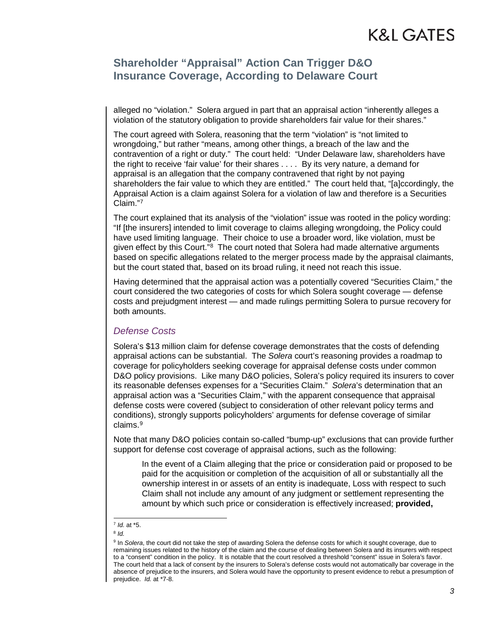# K&L GATES

### **Shareholder "Appraisal" Action Can Trigger D&O Insurance Coverage, According to Delaware Court**

alleged no "violation." Solera argued in part that an appraisal action "inherently alleges a violation of the statutory obligation to provide shareholders fair value for their shares."

The court agreed with Solera, reasoning that the term "violation" is "not limited to wrongdoing," but rather "means, among other things, a breach of the law and the contravention of a right or duty." The court held: "Under Delaware law, shareholders have the right to receive 'fair value' for their shares . . . . By its very nature, a demand for appraisal is an allegation that the company contravened that right by not paying shareholders the fair value to which they are entitled." The court held that, "[a]ccordingly, the Appraisal Action is a claim against Solera for a violation of law and therefore is a Securities Claim."[7](#page-2-0)

The court explained that its analysis of the "violation" issue was rooted in the policy wording: "If [the insurers] intended to limit coverage to claims alleging wrongdoing, the Policy could have used limiting language. Their choice to use a broader word, like violation, must be given effect by this Court."<sup>[8](#page-2-1)</sup> The court noted that Solera had made alternative arguments based on specific allegations related to the merger process made by the appraisal claimants, but the court stated that, based on its broad ruling, it need not reach this issue.

Having determined that the appraisal action was a potentially covered "Securities Claim," the court considered the two categories of costs for which Solera sought coverage — defense costs and prejudgment interest — and made rulings permitting Solera to pursue recovery for both amounts.

#### *Defense Costs*

Solera's \$13 million claim for defense coverage demonstrates that the costs of defending appraisal actions can be substantial. The *Solera* court's reasoning provides a roadmap to coverage for policyholders seeking coverage for appraisal defense costs under common D&O policy provisions. Like many D&O policies, Solera's policy required its insurers to cover its reasonable defenses expenses for a "Securities Claim." *Solera*'s determination that an appraisal action was a "Securities Claim," with the apparent consequence that appraisal defense costs were covered (subject to consideration of other relevant policy terms and conditions), strongly supports policyholders' arguments for defense coverage of similar claims.[9](#page-2-2)

Note that many D&O policies contain so-called "bump-up" exclusions that can provide further support for defense cost coverage of appraisal actions, such as the following:

In the event of a Claim alleging that the price or consideration paid or proposed to be paid for the acquisition or completion of the acquisition of all or substantially all the ownership interest in or assets of an entity is inadequate, Loss with respect to such Claim shall not include any amount of any judgment or settlement representing the amount by which such price or consideration is effectively increased; **provided,** 

<span id="page-2-0"></span> <sup>7</sup> *Id.* at \*5.

<sup>8</sup> *Id.*

<span id="page-2-2"></span><span id="page-2-1"></span><sup>&</sup>lt;sup>9</sup> In *Solera*, the court did not take the step of awarding Solera the defense costs for which it sought coverage, due to remaining issues related to the history of the claim and the course of dealing between Solera and its insurers with respect to a "consent" condition in the policy. It is notable that the court resolved a threshold "consent" issue in Solera's favor. The court held that a lack of consent by the insurers to Solera's defense costs would not automatically bar coverage in the absence of prejudice to the insurers, and Solera would have the opportunity to present evidence to rebut a presumption of prejudice. *Id.* at \*7-8.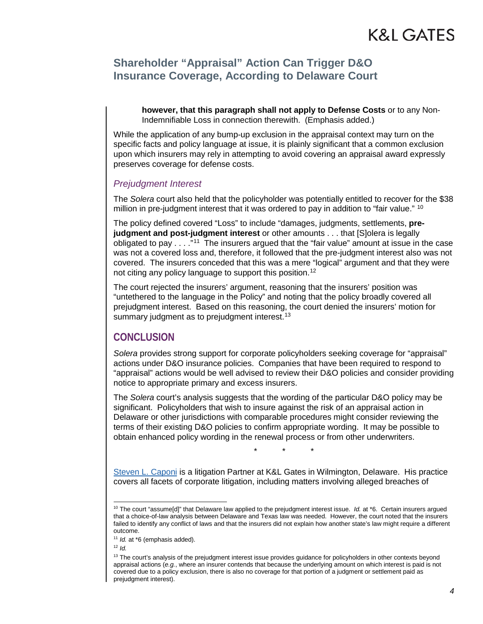# **Shareholder "Appraisal" Action Can Trigger D&O Insurance Coverage, According to Delaware Court**

**however, that this paragraph shall not apply to Defense Costs** or to any Non-Indemnifiable Loss in connection therewith. (Emphasis added.)

While the application of any bump-up exclusion in the appraisal context may turn on the specific facts and policy language at issue, it is plainly significant that a common exclusion upon which insurers may rely in attempting to avoid covering an appraisal award expressly preserves coverage for defense costs.

#### *Prejudgment Interest*

The *Solera* court also held that the policyholder was potentially entitled to recover for the \$38 million in pre-judgment interest that it was ordered to pay in addition to "fair value." <sup>10</sup>

The policy defined covered "Loss" to include "damages, judgments, settlements, **prejudgment and post-judgment interest** or other amounts . . . that [S]olera is legally obligated to pay . . . ."[11](#page-3-1) The insurers argued that the "fair value" amount at issue in the case was not a covered loss and, therefore, it followed that the pre-judgment interest also was not covered. The insurers conceded that this was a mere "logical" argument and that they were not citing any policy language to support this position.[12](#page-3-2)

The court rejected the insurers' argument, reasoning that the insurers' position was "untethered to the language in the Policy" and noting that the policy broadly covered all prejudgment interest. Based on this reasoning, the court denied the insurers' motion for summary judgment as to prejudgment interest.<sup>13</sup>

### **CONCLUSION**

*Solera* provides strong support for corporate policyholders seeking coverage for "appraisal" actions under D&O insurance policies. Companies that have been required to respond to "appraisal" actions would be well advised to review their D&O policies and consider providing notice to appropriate primary and excess insurers.

The *Solera* court's analysis suggests that the wording of the particular D&O policy may be significant. Policyholders that wish to insure against the risk of an appraisal action in Delaware or other jurisdictions with comparable procedures might consider reviewing the terms of their existing D&O policies to confirm appropriate wording. It may be possible to obtain enhanced policy wording in the renewal process or from other underwriters.

\* \* \*

[Steven L. Caponi](http://www.klgates.com/steven-l-caponi/) is a litigation Partner at K&L Gates in Wilmington, Delaware. His practice covers all facets of corporate litigation, including matters involving alleged breaches of

<span id="page-3-2"></span><span id="page-3-1"></span><sup>12</sup> *Id.*

<span id="page-3-0"></span> <sup>10</sup> The court "assume[d]" that Delaware law applied to the prejudgment interest issue. *Id.* at \*6. Certain insurers argued that a choice-of-law analysis between Delaware and Texas law was needed. However, the court noted that the insurers failed to identify any conflict of laws and that the insurers did not explain how another state's law might require a different outcome.

<sup>&</sup>lt;sup>11</sup> *Id.* at \*6 (emphasis added).

<span id="page-3-3"></span><sup>&</sup>lt;sup>13</sup> The court's analysis of the prejudgment interest issue provides guidance for policyholders in other contexts beyond appraisal actions (*e.g.*, where an insurer contends that because the underlying amount on which interest is paid is not covered due to a policy exclusion, there is also no coverage for that portion of a judgment or settlement paid as prejudgment interest).